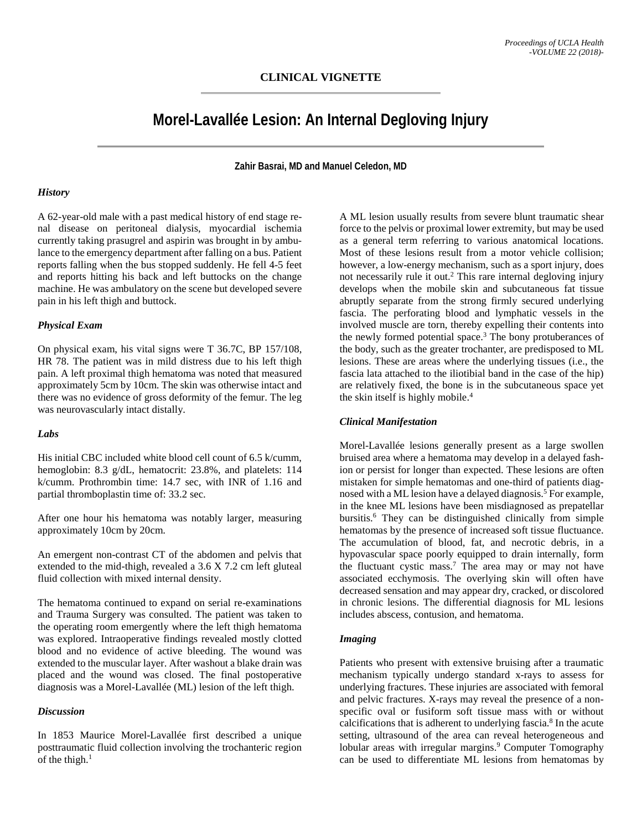# **Morel-Lavallée Lesion: An Internal Degloving Injury**

**Zahir Basrai, MD and Manuel Celedon, MD**

#### *History*

A 62-year-old male with a past medical history of end stage renal disease on peritoneal dialysis, myocardial ischemia currently taking prasugrel and aspirin was brought in by ambulance to the emergency department after falling on a bus. Patient reports falling when the bus stopped suddenly. He fell 4-5 feet and reports hitting his back and left buttocks on the change machine. He was ambulatory on the scene but developed severe pain in his left thigh and buttock.

#### *Physical Exam*

On physical exam, his vital signs were T 36.7C, BP 157/108, HR 78. The patient was in mild distress due to his left thigh pain. A left proximal thigh hematoma was noted that measured approximately 5cm by 10cm. The skin was otherwise intact and there was no evidence of gross deformity of the femur. The leg was neurovascularly intact distally.

#### *Labs*

His initial CBC included white blood cell count of 6.5 k/cumm, hemoglobin: 8.3 g/dL, hematocrit: 23.8%, and platelets: 114 k/cumm. Prothrombin time: 14.7 sec, with INR of 1.16 and partial thromboplastin time of: 33.2 sec.

After one hour his hematoma was notably larger, measuring approximately 10cm by 20cm.

An emergent non-contrast CT of the abdomen and pelvis that extended to the mid-thigh, revealed a 3.6 X 7.2 cm left gluteal fluid collection with mixed internal density.

The hematoma continued to expand on serial re-examinations and Trauma Surgery was consulted. The patient was taken to the operating room emergently where the left thigh hematoma was explored. Intraoperative findings revealed mostly clotted blood and no evidence of active bleeding. The wound was extended to the muscular layer. After washout a blake drain was placed and the wound was closed. The final postoperative diagnosis was a Morel-Lavallée (ML) lesion of the left thigh.

#### *Discussion*

In 1853 Maurice Morel-Lavallée first described a unique posttraumatic fluid collection involving the trochanteric region of the thigh. 1

A ML lesion usually results from severe blunt traumatic shear force to the pelvis or proximal lower extremity, but may be used as a general term referring to various anatomical locations. Most of these lesions result from a motor vehicle collision; however, a low-energy mechanism, such as a sport injury, does not necessarily rule it out. <sup>2</sup> This rare internal degloving injury develops when the mobile skin and subcutaneous fat tissue abruptly separate from the strong firmly secured underlying fascia. The perforating blood and lymphatic vessels in the involved muscle are torn, thereby expelling their contents into the newly formed potential space.<sup>3</sup> The bony protuberances of the body, such as the greater trochanter, are predisposed to ML lesions. These are areas where the underlying tissues (i.e., the fascia lata attached to the iliotibial band in the case of the hip) are relatively fixed, the bone is in the subcutaneous space yet the skin itself is highly mobile. 4

## *Clinical Manifestation*

Morel-Lavallée lesions generally present as a large swollen bruised area where a hematoma may develop in a delayed fashion or persist for longer than expected. These lesions are often mistaken for simple hematomas and one-third of patients diagnosed with a ML lesion have a delayed diagnosis. <sup>5</sup> For example, in the knee ML lesions have been misdiagnosed as prepatellar bursitis. <sup>6</sup> They can be distinguished clinically from simple hematomas by the presence of increased soft tissue fluctuance. The accumulation of blood, fat, and necrotic debris, in a hypovascular space poorly equipped to drain internally, form the fluctuant cystic mass. <sup>7</sup> The area may or may not have associated ecchymosis. The overlying skin will often have decreased sensation and may appear dry, cracked, or discolored in chronic lesions. The differential diagnosis for ML lesions includes abscess, contusion, and hematoma.

#### *Imaging*

Patients who present with extensive bruising after a traumatic mechanism typically undergo standard x-rays to assess for underlying fractures. These injuries are associated with femoral and pelvic fractures. X-rays may reveal the presence of a nonspecific oval or fusiform soft tissue mass with or without calcifications that is adherent to underlying fascia. <sup>8</sup> In the acute setting, ultrasound of the area can reveal heterogeneous and lobular areas with irregular margins. <sup>9</sup> Computer Tomography can be used to differentiate ML lesions from hematomas by